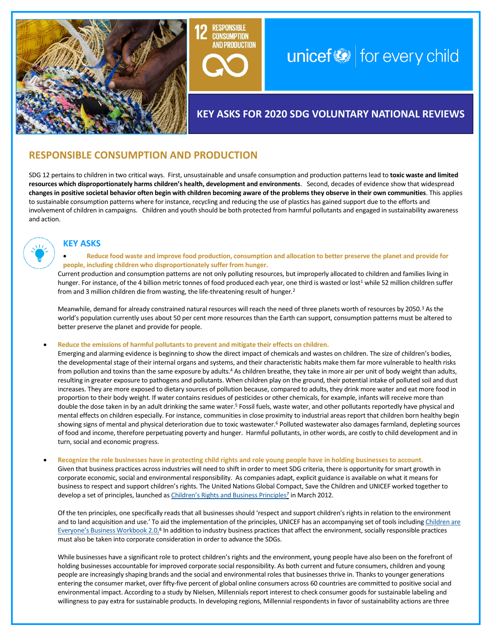

# unicef $\bigcirc$  for every child

## **KEY ASKS FOR 2020 SDG VOLUNTARY NATIONAL REVIEWS**

### **RESPONSIBLE CONSUMPTION AND PRODUCTION**

SDG 12 pertains to children in two critical ways. First, unsustainable and unsafe consumption and production patterns lead to **toxic waste and limited resources which disproportionately harms children's health, development and environments**. Second, decades of evidence show that widespread **changes in positive societal behavior often begin with children becoming aware of the problems they observe in their own communities**. This applies to sustainable consumption patterns where for instance, recycling and reducing the use of plastics has gained support due to the efforts and involvement of children in campaigns. Children and youth should be both protected from harmful pollutants and engaged in sustainability awareness and action.

**CONSUMPTION AND PRODUCTION** 



#### **KEY ASKS**

• **Reduce food waste and improve food production, consumption and allocation to better preserve the planet and provide for people, including children who disproportionately suffer from hunger.** 

Current production and consumption patterns are not only polluting resources, but improperly allocated to children and families living in hunger. For instance, of the 4 billion metric tonnes of food produced each year, one third is wasted or lost<sup>1</sup> while 52 million children suffer from and 3 million children die from wasting, the life-threatening result of hunger.<sup>2</sup>

Meanwhile, demand for already constrained natural resources will reach the need of three planets worth of resources by 2050.<sup>3</sup> As the world's population currently uses about 50 per cent more resources than the Earth can support, consumption patterns must be altered to better preserve the planet and provide for people.

• **Reduce the emissions of harmful pollutants to prevent and mitigate their effects on children.**

develop a set of principles, launched as *Children's Rights and Business Principles<sup>7</sup>* in March 2012.

Emerging and alarming evidence is beginning to show the direct impact of chemicals and wastes on children. The size of children's bodies, the developmental stage of their internal organs and systems, and their characteristic habits make them far more vulnerable to health risks from pollution and toxins than the same exposure by adults.<sup>4</sup> As children breathe, they take in more air per unit of body weight than adults, resulting in greater exposure to pathogens and pollutants. When children play on the ground, their potential intake of polluted soil and dust increases. They are more exposed to dietary sources of pollution because, compared to adults, they drink more water and eat more food in proportion to their body weight. If water contains residues of pesticides or other chemicals, for example, infants will receive more than double the dose taken in by an adult drinking the same water.<sup>5</sup> Fossil fuels, waste water, and other pollutants reportedly have physical and mental effects on children especially. For instance, communities in close proximity to industrial areas report that children born healthy begin showing signs of mental and physical deterioration due to toxic wastewater.<sup>6</sup> Polluted wastewater also damages farmland, depleting sources of food and income, therefore perpetuating poverty and hunger. Harmful pollutants, in other words, are costly to child development and in turn, social and economic progress.

• **Recognize the role businesses have in protecting child rights and role young people have in holding businesses to account.**  Given that business practices across industries will need to shift in order to meet SDG criteria, there is opportunity for smart growth in corporate economic, social and environmental responsibility. As companies adapt, explicit guidance is available on what it means for business to respect and support children's rights. The United Nations Global Compact, Save the Children and UNICEF worked together to

Of the ten principles, one specifically reads that all businesses should 'respect and support children's rights in relation to the environment and to land acquisition and use.' To aid the implementation of the principles, UNICEF has an accompanying set of tools including [Children are](https://www.unicef.org/csr/css/Workbook_2.0_Second_Edition_29092014_LR.pdf)  [Everyone's Business Workbook 2.0.](https://www.unicef.org/csr/css/Workbook_2.0_Second_Edition_29092014_LR.pdf)<sup>8</sup> In addition to industry business practices that affect the environment, socially responsible practices must also be taken into corporate consideration in order to advance the SDGs.

While businesses have a significant role to protect children's rights and the environment, young people have also been on the forefront of holding businesses accountable for improved corporate social responsibility. As both current and future consumers, children and young people are increasingly shaping brands and the social and environmental roles that businesses thrive in. Thanks to younger generations entering the consumer market, over fifty-five percent of global online consumers across 60 countries are committed to positive social and environmental impact. According to a study by Nielsen, Millennials report interest to check consumer goods for sustainable labeling and willingness to pay extra for sustainable products. In developing regions, Millennial respondents in favor of sustainability actions are three